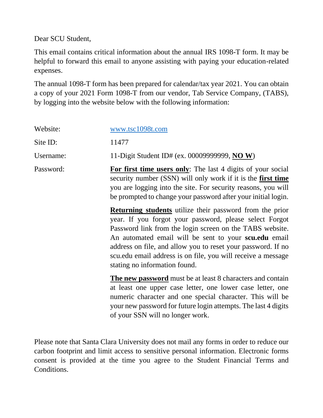Dear SCU Student,

This email contains critical information about the annual IRS 1098-T form. It may be helpful to forward this email to anyone assisting with paying your education-related expenses.

The annual 1098-T form has been prepared for calendar/tax year 2021. You can obtain a copy of your 2021 Form 1098-T from our vendor, Tab Service Company, (TABS), by logging into the website below with the following information:

| Website:  | www.tsc1098t.com                                                                                                                                                                                                                                                                                                                                                                                                |
|-----------|-----------------------------------------------------------------------------------------------------------------------------------------------------------------------------------------------------------------------------------------------------------------------------------------------------------------------------------------------------------------------------------------------------------------|
| Site ID:  | 11477                                                                                                                                                                                                                                                                                                                                                                                                           |
| Username: | 11-Digit Student ID# (ex. 00009999999, NO W)                                                                                                                                                                                                                                                                                                                                                                    |
| Password: | For first time users only: The last 4 digits of your social<br>security number (SSN) will only work if it is the first time<br>you are logging into the site. For security reasons, you will<br>be prompted to change your password after your initial login.                                                                                                                                                   |
|           | <b>Returning students</b> utilize their password from the prior<br>year. If you forgot your password, please select Forgot<br>Password link from the login screen on the TABS website.<br>An automated email will be sent to your sculed email<br>address on file, and allow you to reset your password. If no<br>scu.edu email address is on file, you will receive a message<br>stating no information found. |
|           | <b>The new password</b> must be at least 8 characters and contain<br>at least one upper case letter, one lower case letter, one<br>numeric character and one special character. This will be<br>your new password for future login attempts. The last 4 digits<br>of your SSN will no longer work.                                                                                                              |

Please note that Santa Clara University does not mail any forms in order to reduce our carbon footprint and limit access to sensitive personal information. Electronic forms consent is provided at the time you agree to the Student Financial Terms and Conditions.